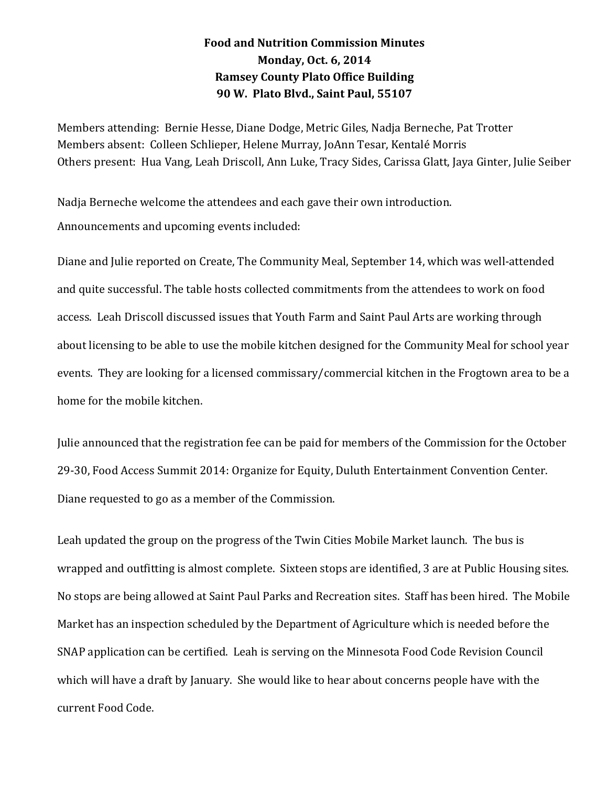## **Food and Nutrition Commission Minutes Monday, Oct. 6, 2014 Ramsey County Plato Office Building 90 W. Plato Blvd., Saint Paul, 55107**

Members attending: Bernie Hesse, Diane Dodge, Metric Giles, Nadja Berneche, Pat Trotter Members absent: Colleen Schlieper, Helene Murray, JoAnn Tesar, Kentalé Morris Others present: Hua Vang, Leah Driscoll, Ann Luke, Tracy Sides, Carissa Glatt, Jaya Ginter, Julie Seiber

Nadja Berneche welcome the attendees and each gave their own introduction. Announcements and upcoming events included:

Diane and Julie reported on Create, The Community Meal, September 14, which was well-attended and quite successful. The table hosts collected commitments from the attendees to work on food access. Leah Driscoll discussed issues that Youth Farm and Saint Paul Arts are working through about licensing to be able to use the mobile kitchen designed for the Community Meal for school year events. They are looking for a licensed commissary/commercial kitchen in the Frogtown area to be a home for the mobile kitchen.

Julie announced that the registration fee can be paid for members of the Commission for the October 29-30, Food Access Summit 2014: Organize for Equity, Duluth Entertainment Convention Center. Diane requested to go as a member of the Commission.

Leah updated the group on the progress of the Twin Cities Mobile Market launch. The bus is wrapped and outfitting is almost complete. Sixteen stops are identified, 3 are at Public Housing sites. No stops are being allowed at Saint Paul Parks and Recreation sites. Staff has been hired. The Mobile Market has an inspection scheduled by the Department of Agriculture which is needed before the SNAP application can be certified. Leah is serving on the Minnesota Food Code Revision Council which will have a draft by January. She would like to hear about concerns people have with the current Food Code.